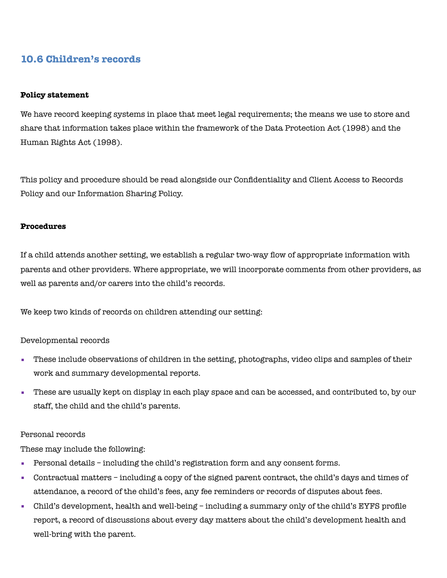# **10.6 Children's records**

#### **Policy statement**

We have record keeping systems in place that meet legal requirements; the means we use to store and share that information takes place within the framework of the Data Protection Act (1998) and the Human Rights Act (1998).

This policy and procedure should be read alongside our Confidentiality and Client Access to Records Policy and our Information Sharing Policy.

### **Procedures**

If a child attends another setting, we establish a regular two-way flow of appropriate information with parents and other providers. Where appropriate, we will incorporate comments from other providers, as well as parents and/or carers into the child's records.

We keep two kinds of records on children attending our setting:

## Developmental records

- These include observations of children in the setting, photographs, video clips and samples of their work and summary developmental reports.
- These are usually kept on display in each play space and can be accessed, and contributed to, by our staff, the child and the child's parents.

#### Personal records

These may include the following:

- Personal details including the child's registration form and any consent forms.
- Contractual matters including a copy of the signed parent contract, the child's days and times of attendance, a record of the child's fees, any fee reminders or records of disputes about fees.
- Child's development, health and well-being including a summary only of the child's EYFS profile report, a record of discussions about every day matters about the child's development health and well-bring with the parent.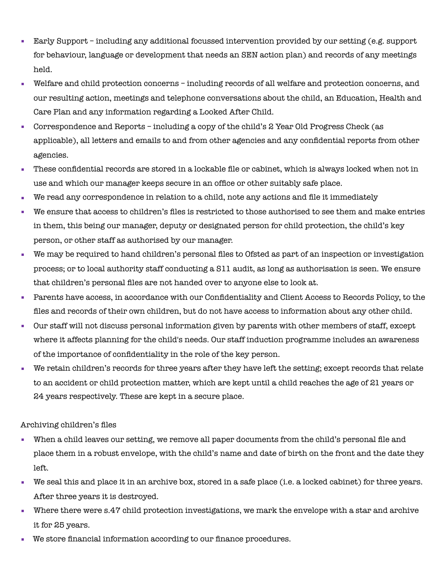- Early Support including any additional focussed intervention provided by our setting (e.g. support for behaviour, language or development that needs an SEN action plan) and records of any meetings held.
- Welfare and child protection concerns including records of all welfare and protection concerns, and our resulting action, meetings and telephone conversations about the child, an Education, Health and Care Plan and any information regarding a Looked After Child.
- Correspondence and Reports including a copy of the child's 2 Year Old Progress Check (as applicable), all letters and emails to and from other agencies and any confidential reports from other agencies.
- These confidential records are stored in a lockable file or cabinet, which is always locked when not in use and which our manager keeps secure in an office or other suitably safe place.
- We read any correspondence in relation to a child, note any actions and file it immediately
- We ensure that access to children's files is restricted to those authorised to see them and make entries in them, this being our manager, deputy or designated person for child protection, the child's key person, or other staff as authorised by our manager.
- We may be required to hand children's personal files to Ofsted as part of an inspection or investigation process; or to local authority staff conducting a S11 audit, as long as authorisation is seen. We ensure that children's personal files are not handed over to anyone else to look at.
- Parents have access, in accordance with our Confidentiality and Client Access to Records Policy, to the files and records of their own children, but do not have access to information about any other child.
- Our staff will not discuss personal information given by parents with other members of staff, except where it affects planning for the child's needs. Our staff induction programme includes an awareness of the importance of confidentiality in the role of the key person.
- We retain children's records for three years after they have left the setting; except records that relate to an accident or child protection matter, which are kept until a child reaches the age of 21 years or 24 years respectively. These are kept in a secure place.

## Archiving children's files

- When a child leaves our setting, we remove all paper documents from the child's personal file and place them in a robust envelope, with the child's name and date of birth on the front and the date they left.
- We seal this and place it in an archive box, stored in a safe place (i.e. a locked cabinet) for three years. After three years it is destroyed.
- Where there were s.47 child protection investigations, we mark the envelope with a star and archive it for 25 years.
- We store financial information according to our finance procedures.